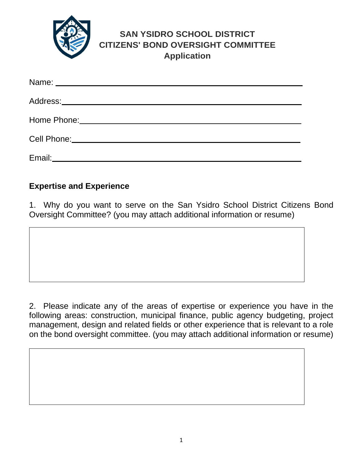

## **SAN YSIDRO SCHOOL DISTRICT CITIZENS' BOND OVERSIGHT COMMITTEE Application**

| Address:____________________________  |  |
|---------------------------------------|--|
| Home Phone: _________________________ |  |
| Cell Phone: _______________           |  |
| Email:                                |  |

## **Expertise and Experience**

1. Why do you want to serve on the San Ysidro School District Citizens Bond Oversight Committee? (you may attach additional information or resume)

2. Please indicate any of the areas of expertise or experience you have in the following areas: construction, municipal finance, public agency budgeting, project management, design and related fields or other experience that is relevant to a role on the bond oversight committee. (you may attach additional information or resume)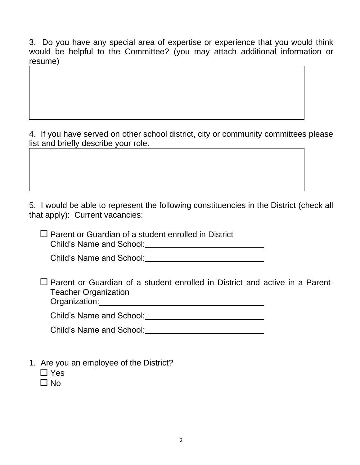3. Do you have any special area of expertise or experience that you would think would be helpful to the Committee? (you may attach additional information or resume)

4. If you have served on other school district, city or community committees please list and briefly describe your role.

5. I would be able to represent the following constituencies in the District (check all that apply): Current vacancies:

 $\square$  Parent or Guardian of a student enrolled in District Child's Name and School: University of the University of Child's Name and School:

Child's Name and School:

 $\Box$  Parent or Guardian of a student enrolled in District and active in a Parent-Teacher Organization Organization:

Child's Name and School: Child's Name and School:

| <b>Child's Name and School:</b> |  |
|---------------------------------|--|
|                                 |  |

- 1. Are you an employee of the District?
	- □ Yes
	- $\Box$  No